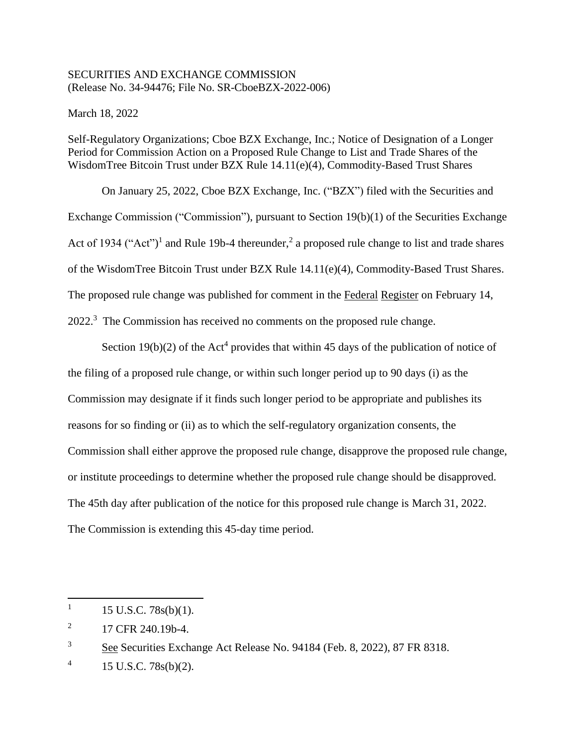## SECURITIES AND EXCHANGE COMMISSION (Release No. 34-94476; File No. SR-CboeBZX-2022-006)

March 18, 2022

Self-Regulatory Organizations; Cboe BZX Exchange, Inc.; Notice of Designation of a Longer Period for Commission Action on a Proposed Rule Change to List and Trade Shares of the WisdomTree Bitcoin Trust under BZX Rule 14.11(e)(4), Commodity-Based Trust Shares

On January 25, 2022, Cboe BZX Exchange, Inc. ("BZX") filed with the Securities and Exchange Commission ("Commission"), pursuant to Section 19(b)(1) of the Securities Exchange Act of 1934 ("Act")<sup>1</sup> and Rule 19b-4 thereunder,<sup>2</sup> a proposed rule change to list and trade shares of the WisdomTree Bitcoin Trust under BZX Rule 14.11(e)(4), Commodity-Based Trust Shares. The proposed rule change was published for comment in the Federal Register on February 14, 2022.<sup>3</sup> The Commission has received no comments on the proposed rule change.

Section  $19(b)(2)$  of the Act<sup>4</sup> provides that within 45 days of the publication of notice of the filing of a proposed rule change, or within such longer period up to 90 days (i) as the Commission may designate if it finds such longer period to be appropriate and publishes its reasons for so finding or (ii) as to which the self-regulatory organization consents, the Commission shall either approve the proposed rule change, disapprove the proposed rule change, or institute proceedings to determine whether the proposed rule change should be disapproved. The 45th day after publication of the notice for this proposed rule change is March 31, 2022. The Commission is extending this 45-day time period.

 $\overline{a}$ 

<sup>1</sup> 15 U.S.C. 78s(b)(1).

<sup>2</sup> 17 CFR 240.19b-4.

<sup>&</sup>lt;sup>3</sup> See Securities Exchange Act Release No. 94184 (Feb. 8, 2022), 87 FR 8318.

<sup>4</sup> 15 U.S.C. 78s(b)(2).